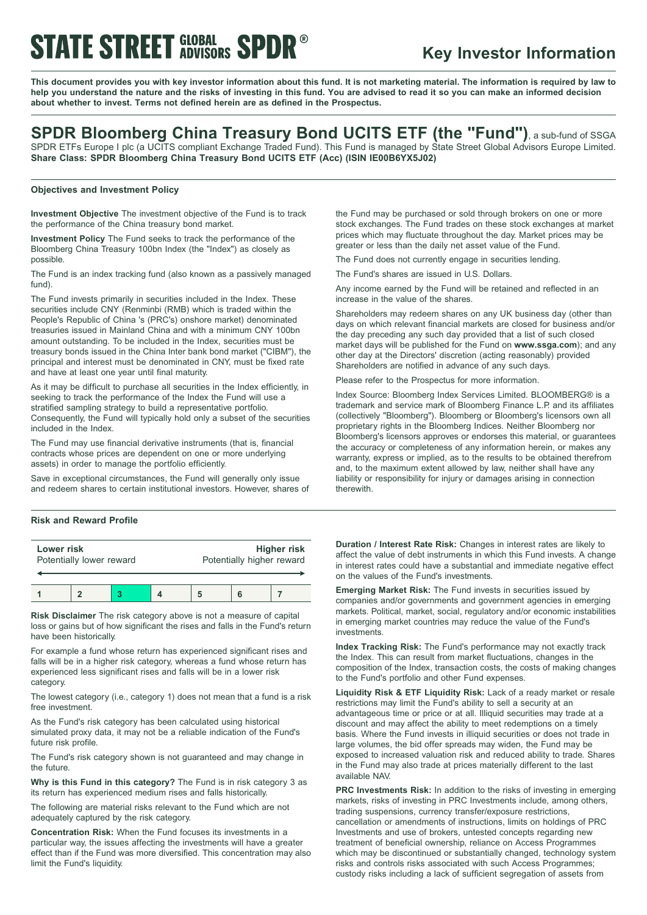# **STATE STREET GLOBAL SPDR®**

### **Key Investor Information**

This document provides you with key investor information about this fund. It is not marketing material. The information is required by law to help you understand the nature and the risks of investing in this fund. You are advised to read it so you can make an informed decision **about whether to invest. Terms not defined herein are as defined in the Prospectus.**

### **SPDR Bloomberg China Treasury Bond UCITS ETF (the "Fund")**, <sup>a</sup> sub-fund of SSGA

SPDR ETFs Europe I plc (a UCITS compliant Exchange Traded Fund). This Fund is managed by State Street Global Advisors Europe Limited. **Share Class: SPDR Bloomberg China Treasury Bond UCITS ETF (Acc) (ISIN IE00B6YX5J02)**

### **Objectives and Investment Policy**

**Investment Objective** The investment objective of the Fund is to track the performance of the China treasury bond market.

**Investment Policy** The Fund seeks to track the performance of the Bloomberg China Treasury 100bn Index (the "Index") as closely as possible.

The Fund is an index tracking fund (also known as a passively managed fund).

The Fund invests primarily in securities included in the Index. These securities include CNY (Renminbi (RMB) which is traded within the People's Republic of China 's (PRC's) onshore market) denominated treasuries issued in Mainland China and with a minimum CNY 100bn amount outstanding. To be included in the Index, securities must be treasury bonds issued in the China Inter bank bond market ("CIBM"), the principal and interest must be denominated in CNY, must be fixed rate and have at least one year until final maturity.

As it may be difficult to purchase all securities in the Index efficiently, in seeking to track the performance of the Index the Fund will use a stratified sampling strategy to build a representative portfolio. Consequently, the Fund will typically hold only a subset of the securities included in the Index.

The Fund may use financial derivative instruments (that is, financial contracts whose prices are dependent on one or more underlying assets) in order to manage the portfolio efficiently.

Save in exceptional circumstances, the Fund will generally only issue and redeem shares to certain institutional investors. However, shares of

### **Risk and Reward Profile**

| Lower risk               |  |  |  | <b>Higher risk</b>        |  |  |
|--------------------------|--|--|--|---------------------------|--|--|
| Potentially lower reward |  |  |  | Potentially higher reward |  |  |
|                          |  |  |  |                           |  |  |

**Risk Disclaimer** The risk category above is not a measure of capital loss or gains but of how significant the rises and falls in the Fund's return have been historically.

For example a fund whose return has experienced significant rises and falls will be in a higher risk category, whereas a fund whose return has experienced less significant rises and falls will be in a lower risk category.

The lowest category (i.e., category 1) does not mean that a fund is a risk free investment.

As the Fund's risk category has been calculated using historical simulated proxy data, it may not be a reliable indication of the Fund's future risk profile.

The Fund's risk category shown is not guaranteed and may change in the future.

**Why is this Fund in this category?** The Fund is in risk category 3 as its return has experienced medium rises and falls historically.

The following are material risks relevant to the Fund which are not adequately captured by the risk category.

**Concentration Risk:** When the Fund focuses its investments in a particular way, the issues affecting the investments will have a greater effect than if the Fund was more diversified. This concentration may also limit the Fund's liquidity.

the Fund may be purchased or sold through brokers on one or more stock exchanges. The Fund trades on these stock exchanges at market prices which may fluctuate throughout the day. Market prices may be greater or less than the daily net asset value of the Fund.

The Fund does not currently engage in securities lending.

The Fund's shares are issued in U.S. Dollars.

Any income earned by the Fund will be retained and reflected in an increase in the value of the shares.

Shareholders may redeem shares on any UK business day (other than days on which relevant financial markets are closed for business and/or the day preceding any such day provided that a list of such closed market days will be published for the Fund on **www.ssga.com**); and any other day at the Directors' discretion (acting reasonably) provided Shareholders are notified in advance of any such days.

Please refer to the Prospectus for more information.

Index Source: Bloomberg Index Services Limited. BLOOMBERG® is a trademark and service mark of Bloomberg Finance L.P. and its affiliates (collectively "Bloomberg"). Bloomberg or Bloomberg's licensors own all proprietary rights in the Bloomberg Indices. Neither Bloomberg nor Bloomberg's licensors approves or endorses this material, or guarantees the accuracy or completeness of any information herein, or makes any warranty, express or implied, as to the results to be obtained therefrom and, to the maximum extent allowed by law, neither shall have any liability or responsibility for injury or damages arising in connection therewith.

**Duration / Interest Rate Risk:** Changes in interest rates are likely to affect the value of debt instruments in which this Fund invests. A change in interest rates could have a substantial and immediate negative effect on the values of the Fund's investments.

**Emerging Market Risk:** The Fund invests in securities issued by companies and/or governments and government agencies in emerging markets. Political, market, social, regulatory and/or economic instabilities in emerging market countries may reduce the value of the Fund's investments.

**Index Tracking Risk:** The Fund's performance may not exactly track the Index. This can result from market fluctuations, changes in the composition of the Index, transaction costs, the costs of making changes to the Fund's portfolio and other Fund expenses.

**Liquidity Risk & ETF Liquidity Risk:** Lack of a ready market or resale restrictions may limit the Fund's ability to sell a security at an advantageous time or price or at all. Illiquid securities may trade at a discount and may affect the ability to meet redemptions on a timely basis. Where the Fund invests in illiquid securities or does not trade in large volumes, the bid offer spreads may widen, the Fund may be exposed to increased valuation risk and reduced ability to trade. Shares in the Fund may also trade at prices materially different to the last available NAV.

**PRC Investments Risk:** In addition to the risks of investing in emerging markets, risks of investing in PRC Investments include, among others, trading suspensions, currency transfer/exposure restrictions, cancellation or amendments of instructions, limits on holdings of PRC Investments and use of brokers, untested concepts regarding new treatment of beneficial ownership, reliance on Access Programmes which may be discontinued or substantially changed, technology system risks and controls risks associated with such Access Programmes; custody risks including a lack of sufficient segregation of assets from